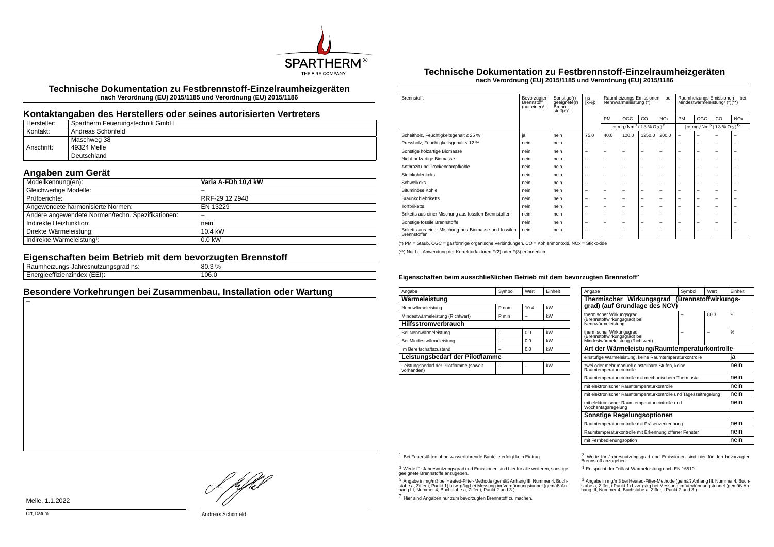

**Technische Dokumentation zu Festbrennstoff-Einzelraumheizgeräten nach Verordnung (EU) 2015/1185 und Verordnung (EU) 2015/1186**

### **Kontaktangaben des Herstellers oder seines autorisierten Vertreters**

| Hersteller: | Spartherm Feuerungstechnik GmbH |
|-------------|---------------------------------|
| Kontakt:    | Andreas Schönfeld               |
|             | Maschweg 38                     |
| Anschrift:  | 49324 Melle                     |
|             | Deutschland                     |

# **Angaben zum Gerät**

| Modellkennung(en):                                | Varia A-FDh 10,4 kW |
|---------------------------------------------------|---------------------|
| Gleichwertige Modelle:                            |                     |
| Prüfberichte:                                     | RRF-29 12 2948      |
| Angewendete harmonisierte Normen:                 | EN 13229            |
| Andere angewendete Normen/techn. Spezifikationen: |                     |
| Indirekte Heizfunktion:                           | nein                |
| Direkte Wärmeleistung:                            | 10.4 kW             |
| Indirekte Wärmeleistung <sup>1</sup> :            | $0.0$ kW            |

#### **Eigenschaften beim Betrieb mit dem bevorzugten Brennstoff**

| 1000<br>ns:<br>zunu:<br>s Jahreshutzungsgrau m<br>.<br>. | 3 %<br>nn<br>ດບ.ວ |
|----------------------------------------------------------|-------------------|
| $\sqrt{2}$<br><br>.<br>.<br>TIZIHUEX<br>.                | 106.0             |

## **Besondere Vorkehrungen bei Zusammenbau, Installation oder Wartung**

#### **Technische Dokumentation zu Festbrennstoff-Einzelraumheizgeräten nach Verordnung (EU) 2015/1185 und Verordnung (EU) 2015/1186**

| Brennstoff:                                                           | Bevorzugter<br>Brennstoff<br>(nur einer) <sup>2</sup> : | Sonstige(r)<br>geeignete(r)<br>Brenn-<br>stoff $(e)^3$ : | ηs<br>[x%]: | Raumheizungs-Emissionen<br>bei<br>Nennwärmeleistung (*) |                                                                   |                          | Raumheizungs-Emissionen<br>bei<br>Mindestwärmeleistung <sup>4</sup> (*)(**) |                                               |     |    |                       |
|-----------------------------------------------------------------------|---------------------------------------------------------|----------------------------------------------------------|-------------|---------------------------------------------------------|-------------------------------------------------------------------|--------------------------|-----------------------------------------------------------------------------|-----------------------------------------------|-----|----|-----------------------|
|                                                                       |                                                         |                                                          |             | PM                                                      | OGC                                                               | CO.                      | <b>NO<sub>x</sub></b>                                                       | PM                                            | OGC | CO | <b>NO<sub>x</sub></b> |
|                                                                       |                                                         |                                                          |             |                                                         | $[x \, \text{mg}/\text{Nm}^3 \, (13 \, \text{%} \, \text{O}_2)^5$ |                          |                                                                             | $[x \text{mg}/\text{Nm}^3 \text{ (13 %O2)}^6$ |     |    |                       |
| Scheitholz, Feuchtigkeitsgehalt ≤ 25 %                                | ja                                                      | nein                                                     | 75.0        | 40.0                                                    | 120.0                                                             | 1250.0                   | 200.0                                                                       | $\overline{\phantom{0}}$                      | ۰   |    |                       |
| Pressholz, Feuchtigkeitsgehalt < 12 %                                 | nein                                                    | nein                                                     | -           |                                                         | -                                                                 | -                        |                                                                             |                                               | -   | -  | -                     |
| Sonstige holzartige Biomasse                                          | nein                                                    | nein                                                     | -           | -                                                       | $\overline{\phantom{a}}$                                          | $\overline{\phantom{0}}$ | -                                                                           | -                                             | -   | -  | -                     |
| Nicht-holzartige Biomasse                                             | nein                                                    | nein                                                     | -           | -                                                       | -                                                                 | $\overline{\phantom{0}}$ | -                                                                           | -                                             | -   | -  | -                     |
| Anthrazit und Trockendampfkohle                                       | nein                                                    | nein                                                     | -           | -                                                       | $\overline{\phantom{a}}$                                          | $\overline{\phantom{0}}$ | -                                                                           | -                                             | -   | -  | -                     |
| Steinkohlenkoks                                                       | nein                                                    | nein                                                     | -           | -                                                       | $\overline{\phantom{a}}$                                          | $\overline{\phantom{0}}$ | -                                                                           | -                                             | -   | -  | -                     |
| Schwelkoks                                                            | nein                                                    | nein                                                     | -           | -                                                       | -                                                                 | -                        | -                                                                           | -                                             | -   | -  | ۰                     |
| Bituminöse Kohle                                                      | nein                                                    | nein                                                     | -           | -                                                       | -                                                                 | -                        | -                                                                           | -                                             | -   | -  | -                     |
| <b>Braunkohlebriketts</b>                                             | nein                                                    | nein                                                     | -           | -                                                       | $\overline{\phantom{a}}$                                          | $\overline{\phantom{0}}$ | -                                                                           | -                                             | -   | -  | -                     |
| <b>Torfbriketts</b>                                                   | nein                                                    | nein                                                     | -           | -                                                       | $\overline{\phantom{a}}$                                          | $\overline{\phantom{0}}$ | -                                                                           | -                                             | -   | -  | -                     |
| Briketts aus einer Mischung aus fossilen Brennstoffen                 | nein                                                    | nein                                                     | -           | -                                                       | $\overline{\phantom{a}}$                                          | $\overline{\phantom{0}}$ | -                                                                           | -                                             | -   | -  | -                     |
| Sonstige fossile Brennstoffe                                          | nein                                                    | nein                                                     | -           | -                                                       | $\overline{\phantom{a}}$                                          | $\overline{\phantom{0}}$ | -                                                                           | -                                             | -   | -  | -                     |
| Briketts aus einer Mischung aus Biomasse und fossilen<br>Brennstoffen | nein                                                    | nein                                                     | -           | -                                                       | -                                                                 | -                        | -                                                                           | -                                             | -   | -  | -                     |

(\*) PM = Staub, OGC = gasförmige organische Verbindungen, CO = Kohlenmonoxid, NOx = Stickoxide

(\*\*) Nur bei Anwendung der Korrekturfaktoren F(2) oder F(3) erforderlich.

#### Eigenschaften beim ausschließlichen Betrieb mit dem bevorzugten Brennstoff<sup>7</sup>

| Angabe                                                | Symbol | Wert | Finheit |  |  |  |  |
|-------------------------------------------------------|--------|------|---------|--|--|--|--|
| Wärmeleistung                                         |        |      |         |  |  |  |  |
| Nennwärmeleistung                                     | P nom  | 10.4 | kW      |  |  |  |  |
| Mindestwärmeleistung (Richtwert)                      | P min  |      | kW      |  |  |  |  |
| <b>Hilfsstromverbrauch</b>                            |        |      |         |  |  |  |  |
| Bei Nennwärmeleistung                                 |        | 0.0  | kW      |  |  |  |  |
| Bei Mindestwärmeleistung                              |        | 0.0  | kW      |  |  |  |  |
| Im Bereitschaftszustand                               |        | 0.0  | kW      |  |  |  |  |
| Leistungsbedarf der Pilotflamme                       |        |      |         |  |  |  |  |
| Leistungsbedarf der Pilotflamme (soweit<br>vorhanden) |        |      | kW      |  |  |  |  |

| Angabe                                                                                       | Symbol | <b>Wert</b> | Finheit       |  |  |
|----------------------------------------------------------------------------------------------|--------|-------------|---------------|--|--|
| Thermischer Wirkungsgrad (Brennstoffwirkungs-<br>grad) (auf Grundlage des NCV)               |        |             |               |  |  |
| thermischer Wirkungsgrad<br>(Brennstoffwirkungsgrad) bei<br>Nennwärmeleistung                |        | 80.3        | $\frac{9}{6}$ |  |  |
| thermischer Wirkungsgrad<br>(Brennstoffwirkungsgräd) bei<br>Mindestwärmeleistung (Richtwert) |        |             | $\frac{9}{6}$ |  |  |
| Art der Wärmeleistung/Raumtemperaturkontrolle                                                |        |             |               |  |  |
| einstufige Wärmeleistung, keine Raumtemperaturkontrolle                                      |        |             | ja            |  |  |
| zwei oder mehr manuell einstellbare Stufen, keine<br>Raumtemperaturkontrolle                 |        |             |               |  |  |
| Raumtemperaturkontrolle mit mechanischem Thermostat                                          |        |             |               |  |  |
| mit elektronischer Raumtemperaturkontrolle                                                   |        |             | nein          |  |  |
| mit elektronischer Raumtemperaturkontrolle und Tageszeitregelung                             |        |             | nein          |  |  |
| mit elektronischer Raumtemperaturkontrolle und<br>Wochentagsregelung                         |        |             | nein          |  |  |
| Sonstige Regelungsoptionen                                                                   |        |             |               |  |  |
| Raumtemperaturkontrolle mit Präsenzerkennung                                                 | nein   |             |               |  |  |
| Raumtemperaturkontrolle mit Erkennung offener Fenster                                        |        |             |               |  |  |
| mit Fernbedienungsoption                                                                     |        |             | nein          |  |  |

 $3$  Werte für Jahresnutzungsgrad und Emissionen sind hier für alle weiteren, sonstige geeignete Brennstoffe anzugeben.

 $5$  Angabe in mg/m3 bei Heated-Filter-Methode (gemäß Anhang III, Nummer 4, Buchstabe a, Ziffer i, Punkt 1) bzw. g/kg bei Messung im Verdünnungstunnel (gemäß An-hang III, Nummer 4, Buchstabe a, Ziffer i, Punkt 2 und 3.)

7 Hier sind Angaben nur zum bevorzugten Brennstoff zu machen.

1 Bei Feuerstätten ohne wasserführende Bauteile erfolgt kein Eintrag. 2 Werte für Jahresnutzungsgrad und Emissionen sind hier für den bevorzugten Brennstoff anzugeben.

4 Entspricht der Teillast-Wärmeleistung nach EN 16510.

.<br>stabe a, Ziffer, i Punkt 1) bzw. g/kg bei Messung im Verdünnungstunnel (gemäß An-<br>hang III, Nummer 4, Buchstabe a, Ziffer, i Punkt 2 und 3.)<br>hang III, Nummer 4, Buchstabe a, Ziffer, i Punkt 2 und 3.)

Melle, 1.1.2022

}. pfbH

Andreas Schönfeld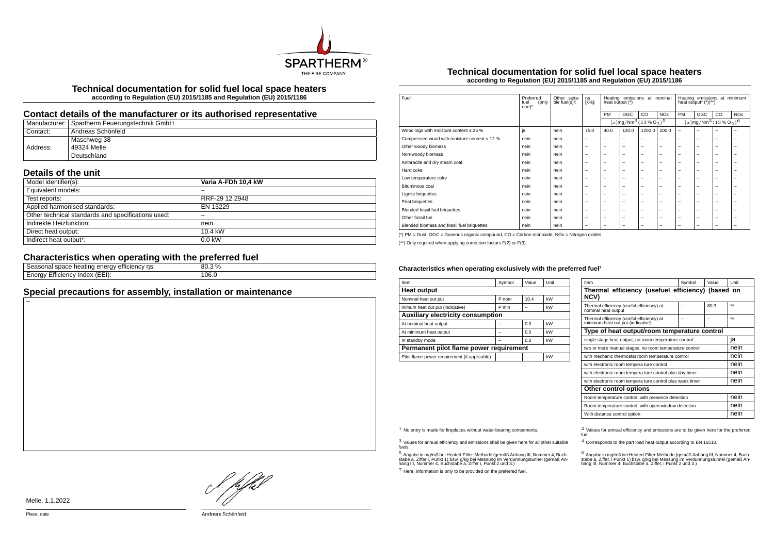

**Technical documentation for solid fuel local space heaters according to Regulation (EU) 2015/1185 and Regulation (EU) 2015/1186**

## **Contact details of the manufacturer or its authorised representative**

|          | Manufacturer: Spartherm Feuerungstechnik GmbH |
|----------|-----------------------------------------------|
| Contact: | Andreas Schönfeld                             |
|          | Maschweg 38                                   |
| Address: | 49324 Melle                                   |
|          | Deutschland                                   |

# **Details of the unit**

| Model identifier(s):                               | Varia A-FDh 10,4 kW |
|----------------------------------------------------|---------------------|
| Equivalent models:                                 |                     |
| Test reports:                                      | RRF-29 12 2948      |
| Applied harmonised standards:                      | EN 13229            |
| Other technical standards and specifications used: |                     |
| Indirekte Heizfunktion:                            | nein                |
| Direct heat output:                                | 10.4 kW             |
| Indirect heat output <sup>1</sup> :                | $0.0$ kW            |

# **Characteristics when operating with the preferred fuel**

| ns:<br>emclency<br>, וו<br><b>Tieauriu</b><br>suace m<br>الەµ∪د،<br>ູ | $\frac{0}{0}$<br>80 |  |
|-----------------------------------------------------------------------|---------------------|--|
| Index<br>(EEI):<br>ciency:<br>' 1 M<br>-ти                            | 106.0<br>.          |  |
|                                                                       |                     |  |

# **Special precautions for assembly, installation or maintenance**

### **Technical documentation for solid fuel local space heaters according to Regulation (EU) 2015/1185 and Regulation (EU) 2015/1186**

| Fuel:                                        | Preferred<br>(only<br>fuel<br>one $)^2$ : | Other suita-<br>ble fuel(s) <sup>3</sup> : | ηs<br>[x%]:              | Heating emissions<br>at nominal<br>heat output (*) |                                                   |                          | Heating emissions at minimum<br>heat output <sup>4</sup> $(*)$ (**) |                          |                                                              |    |                       |
|----------------------------------------------|-------------------------------------------|--------------------------------------------|--------------------------|----------------------------------------------------|---------------------------------------------------|--------------------------|---------------------------------------------------------------------|--------------------------|--------------------------------------------------------------|----|-----------------------|
|                                              |                                           |                                            |                          | PM                                                 | OGC                                               | CO                       | <b>NO<sub>x</sub></b>                                               | PM                       | OGC                                                          | CO | <b>NO<sub>x</sub></b> |
|                                              |                                           |                                            |                          |                                                    | $[x \, \text{mg}/\text{Nm}^3 \, \text{(13%02)}^5$ |                          |                                                                     |                          | $[x]$ mg/Nm <sup>3</sup> (13 % O <sub>2</sub> ) <sup>6</sup> |    |                       |
| Wood logs with moisture content $\leq 25$ %  | ja                                        | nein                                       | 75.0                     | 40.0                                               | 120.0                                             | 1250.0                   | 200.0                                                               | $\overline{\phantom{m}}$ | -                                                            | -  | -                     |
| Compressed wood with moisture content < 12 % | nein                                      | nein                                       |                          | -                                                  | $\overline{\phantom{0}}$                          | $\overline{\phantom{0}}$ | $\overline{\phantom{0}}$                                            | $\overline{\phantom{0}}$ | -                                                            | -  | -                     |
| Other woody biomass                          | nein                                      | nein                                       | -                        | -                                                  | -                                                 | $\overline{\phantom{0}}$ | $\overline{\phantom{0}}$                                            | $\overline{\phantom{0}}$ | -                                                            | -  | -                     |
| Non-woody biomass                            | nein                                      | nein                                       | -                        | -                                                  | -                                                 | $\overline{\phantom{0}}$ | $\overline{\phantom{0}}$                                            | $\overline{\phantom{0}}$ | -                                                            | -  | -                     |
| Anthracite and dry steam coal                | nein                                      | nein                                       |                          | $\overline{\phantom{0}}$                           | $\overline{\phantom{0}}$                          | $\overline{\phantom{m}}$ | $\overline{\phantom{m}}$                                            | $\overline{\phantom{0}}$ | -                                                            | -  | -                     |
| Hard coke                                    | nein                                      | nein                                       | -                        | -                                                  | -                                                 | -                        | $\overline{\phantom{0}}$                                            | $\overline{\phantom{0}}$ | -                                                            | -  | ۰                     |
| Low temperature coke                         | nein                                      | nein                                       | -                        | -                                                  | -                                                 | -                        | $\overline{\phantom{0}}$                                            | $\overline{\phantom{0}}$ | -                                                            | -  | -                     |
| Bituminous coal                              | nein                                      | nein                                       | -                        | -                                                  | -                                                 | -                        | $\overline{\phantom{0}}$                                            | $\overline{\phantom{0}}$ | -                                                            | -  | -                     |
| <b>Lignite briquettes</b>                    | nein                                      | nein                                       | -                        | -                                                  | -                                                 | -                        | $\overline{\phantom{0}}$                                            | $\overline{\phantom{0}}$ | -                                                            | -  | -                     |
| Peat briquettes                              | nein                                      | nein                                       | -                        | -                                                  | -                                                 | -                        | $\overline{\phantom{0}}$                                            | $\overline{\phantom{0}}$ | -                                                            | -  | -                     |
| Blended fossil fuel briquettes               | nein                                      | nein                                       |                          | -                                                  | $\overline{\phantom{0}}$                          | $\overline{\phantom{m}}$ | $\overline{\phantom{m}}$                                            | $\overline{\phantom{0}}$ | -                                                            | -  | -                     |
| Other fossil fue                             | nein                                      | nein                                       | -                        | -                                                  | -                                                 | $\overline{\phantom{0}}$ | $\overline{\phantom{0}}$                                            | $\overline{\phantom{0}}$ | -                                                            | -  | -                     |
| Blended biomass and fossil fuel briquettes   | nein                                      | nein                                       | $\overline{\phantom{0}}$ | -                                                  | -                                                 | -                        | $\overline{\phantom{0}}$                                            | $\overline{\phantom{0}}$ | -                                                            | -  | -                     |

(\*) PM = Dust, OGC = Gaseous organic compound, CO = Carbon monoxide, NOx = Nitrogen oxides

(\*\*) Only required when applying correction factors F(2) or F(3).

#### Characteristics when operating exclusively with the preferred fuel<sup>7</sup>

| Item                                          | Symbol | Value | Unit |  |  |  |  |
|-----------------------------------------------|--------|-------|------|--|--|--|--|
| <b>Heat output</b>                            |        |       |      |  |  |  |  |
| Nominal heat out put                          | P nom  | 10.4  | kW   |  |  |  |  |
| inimum heat out put (indicative)              | P min  |       | kW   |  |  |  |  |
| <b>Auxiliary electricity consumption</b>      |        |       |      |  |  |  |  |
| At nominal heat output                        |        | 0.0   | kW   |  |  |  |  |
| At minimum heat output                        |        | 0.0   | kW   |  |  |  |  |
| In standby mode                               |        | 0.0   | kW   |  |  |  |  |
| Permanent pilot flame power requirement       |        |       |      |  |  |  |  |
| Pilot flame power requirement (if applicable) |        |       | kW   |  |  |  |  |

| Item                                                                           | Symbol | Value | Unit          |  |  |
|--------------------------------------------------------------------------------|--------|-------|---------------|--|--|
| Thermal efficiency (usefuel efficiency) (based on<br>NCV)                      |        |       |               |  |  |
| Thermal efficiency (useful efficiency) at<br>nominal heat output               |        | 80.3  | 0/6           |  |  |
| Thermal efficiency (useful efficiency) at<br>minimum heat out put (indicative) |        |       | $\frac{0}{6}$ |  |  |
| Type of heat output/room temperature control                                   |        |       |               |  |  |
| single stage heat output, no room temperature control                          | ıa     |       |               |  |  |
| two or more manual stages, no room temperature control                         | nein   |       |               |  |  |
| with mechanic thermostat room temperature control                              | nein   |       |               |  |  |
| with electronic room tempera ture control                                      |        |       | nein          |  |  |
| with electronic room tempera ture control plus day timer                       | nein   |       |               |  |  |
| with electronic room tempera ture control plus week timer                      | nein   |       |               |  |  |
| Other control options                                                          |        |       |               |  |  |
| Room temperature control, with presence detection                              | nein   |       |               |  |  |
| Room temperature control, with open window detection                           | nein   |       |               |  |  |
| With distance control option                                                   |        |       | nein          |  |  |

3 Values for annual efficiency and emissions shall be given here for all other suitable fuels.

.<br>5 Angabe a, Ziffer i, Punkt 1) bzw. g/kg bei Messung im Verdünnungstunnel (gemäß An-<br>hang III, Nummer 4, Buchstabe a, Ziffer i, Punkt 2 und 3.)<br>hang III, Nummer 4, Buchstabe a, Ziffer i, Punkt 2 und 3.)

7 Here, information is only to be provided on the preferred fuel.

 $1$  No entry is made for fireplaces without water-bearing components.  $2$  Values for annual efficiency and emissions are to be given here for the preferred fuel.

4 Corresponds to the part load heat output according to EN 16510.

.<br>stabe a, Ziffer, i Punkt 1) bzw. g/kg bei Messung im Verdünnungstunner 4, Buch-<br>hang III, Nummer 4, Buchstabe a, Ziffer, i Punkt 2 und 3.)<br>hang III, Nummer 4, Buchstabe a, Ziffer, i Punkt 2 und 3.)

L pfhil

Melle, 1.1.2022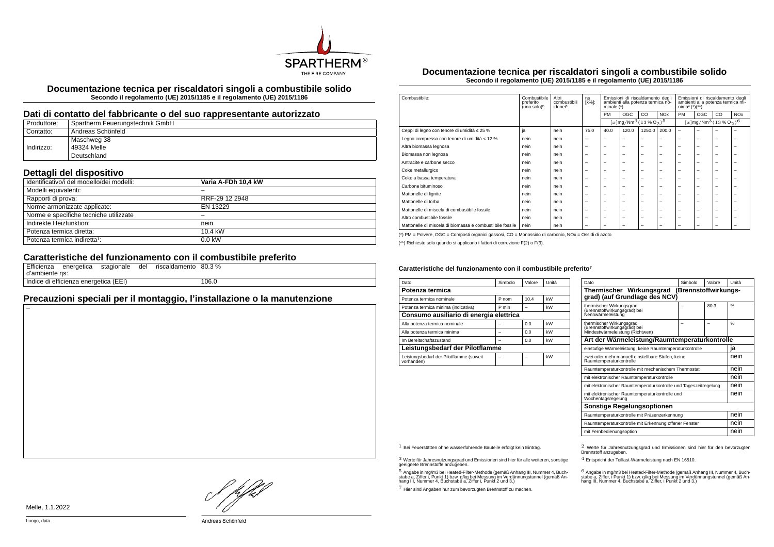

**Documentazione tecnica per riscaldatori singoli a combustibile solido Secondo il regolamento (UE) 2015/1185 e il regolamento (UE) 2015/1186**

#### **Dati di contatto del fabbricante o del suo rappresentante autorizzato**

| Produttore: | Spartherm Feuerungstechnik GmbH |
|-------------|---------------------------------|
| Contatto:   | Andreas Schönfeld               |
|             | Maschweg 38                     |
| Indirizzo:  | 49324 Melle                     |
|             | Deutschland                     |

## **Dettagli del dispositivo**

| Identificativo/i del modello/dei modelli: | Varia A-FDh 10.4 kW |  |
|-------------------------------------------|---------------------|--|
| Modelli equivalenti:                      |                     |  |
| Rapporti di prova:                        | RRF-29 12 2948      |  |
| Norme armonizzate applicate:              | EN 13229            |  |
| Norme e specifiche tecniche utilizzate    |                     |  |
| Indirekte Heizfunktion:                   | nein                |  |
| Potenza termica diretta:                  | 10.4 kW             |  |
| Potenza termica indiretta <sup>1</sup> :  | $0.0$ kW            |  |
|                                           |                     |  |

### **Caratteristiche del funzionamento con il combustibile preferito**

|                |                                       | Efficienza energetica stagionale | del | riscaldamento 80.3 % |       |
|----------------|---------------------------------------|----------------------------------|-----|----------------------|-------|
| d'ambiente ns: |                                       |                                  |     |                      |       |
|                | Indice di efficienza energetica (EEI) |                                  |     |                      | 106.0 |

# **Precauzioni speciali per il montaggio, l'installazione o la manutenzione**

**Documentazione tecnica per riscaldatori singoli a combustibile solido Secondo il regolamento (UE) 2015/1185 e il regolamento (UE) 2015/1186**

| Combustibile:                                             | Combustibile<br>preferito<br>(uno solo) <sup>2</sup> : | Altri<br>combustibili<br>idonei <sup>3</sup> : | ηs<br>[x%]:              | Emissioni di riscaldamento degli<br>ambienti alla potenza termica no-<br>minale $(*)$ |                          | Emissioni di riscaldamento degli<br>ambienti alla potenza termica mi-<br>$nima4 (*)(**)$ |                          |                          |                          |                                                            |                       |
|-----------------------------------------------------------|--------------------------------------------------------|------------------------------------------------|--------------------------|---------------------------------------------------------------------------------------|--------------------------|------------------------------------------------------------------------------------------|--------------------------|--------------------------|--------------------------|------------------------------------------------------------|-----------------------|
|                                                           |                                                        |                                                |                          | <b>PM</b>                                                                             | <b>OGC</b>               | CO                                                                                       | <b>NO<sub>x</sub></b>    | PM                       | OGC                      | CO                                                         | <b>NO<sub>x</sub></b> |
|                                                           |                                                        |                                                |                          |                                                                                       |                          | $[x]$ mg/Nm <sup>3</sup> $(13\%$ O <sub>2</sub> ) <sup>5</sup>                           |                          |                          |                          | $[x \, \text{mg}/\text{Nm}^3 \, (13 \, \%\, \text{O}_2)^6$ |                       |
| Ceppi di legno con tenore di umidità ≤ 25 %               | ja                                                     | nein                                           | 75.0                     | 40.0                                                                                  | 120.0                    | 1250.0                                                                                   | 200.0                    | $\overline{\phantom{0}}$ | $\overline{\phantom{0}}$ | -                                                          |                       |
| Legno compresso con tenore di umidità < 12 %              | nein                                                   | nein                                           | $\overline{\phantom{m}}$ | $\overline{\phantom{a}}$                                                              | $\overline{\phantom{a}}$ | -                                                                                        | -                        | -                        | $\overline{\phantom{0}}$ | $\overline{\phantom{0}}$                                   | -                     |
| Altra biomassa legnosa                                    | nein                                                   | nein                                           | $\overline{\phantom{0}}$ | $\overline{\phantom{0}}$                                                              | $\overline{\phantom{0}}$ | -                                                                                        | -                        | $\overline{\phantom{a}}$ | $\overline{\phantom{0}}$ | -                                                          | -                     |
| Biomassa non legnosa                                      | nein                                                   | nein                                           | $\overline{\phantom{0}}$ | $\overline{\phantom{0}}$                                                              | $\overline{\phantom{0}}$ | -                                                                                        | -                        | $\overline{\phantom{a}}$ | $\overline{\phantom{0}}$ | -                                                          | -                     |
| Antracite e carbone secco                                 | nein                                                   | nein                                           | $\overline{\phantom{0}}$ | $\overline{\phantom{0}}$                                                              | $\overline{\phantom{a}}$ | -                                                                                        | -                        | $\overline{\phantom{a}}$ | -                        | -                                                          | -                     |
| Coke metallurgico                                         | nein                                                   | nein                                           | $\overline{\phantom{0}}$ | $\overline{\phantom{0}}$                                                              | $\overline{\phantom{0}}$ | -                                                                                        | -                        | $\overline{\phantom{a}}$ | $\overline{\phantom{0}}$ | -                                                          | -                     |
| Coke a bassa temperatura                                  | nein                                                   | nein                                           | $\overline{\phantom{0}}$ | $\overline{\phantom{0}}$                                                              | $\overline{\phantom{a}}$ | -                                                                                        | -                        | -                        | -                        | -                                                          |                       |
| Carbone bituminoso                                        | nein                                                   | nein                                           | -                        | -                                                                                     | $\overline{\phantom{a}}$ | -                                                                                        | -                        | -                        | $\overline{\phantom{0}}$ | ۰                                                          |                       |
| Mattonelle di lignite                                     | nein                                                   | nein                                           | $\overline{\phantom{0}}$ | $\overline{\phantom{a}}$                                                              | $\overline{\phantom{a}}$ | -                                                                                        | -                        | -                        | -                        | -                                                          |                       |
| Mattonelle di torba                                       | nein                                                   | nein                                           | $\overline{\phantom{0}}$ | $\overline{\phantom{0}}$                                                              | $\overline{\phantom{a}}$ | -                                                                                        | -                        | -                        | $\overline{\phantom{0}}$ | -                                                          |                       |
| Mattonelle di miscela di combustibile fossile             | nein                                                   | nein                                           | $\overline{\phantom{0}}$ | $\overline{\phantom{0}}$                                                              | $\overline{\phantom{0}}$ | -                                                                                        | -                        | $\overline{\phantom{a}}$ | $\overline{\phantom{0}}$ | -                                                          | -                     |
| Altro combustibile fossile                                | nein                                                   | nein                                           | $\overline{\phantom{0}}$ | $\overline{\phantom{0}}$                                                              | $\overline{\phantom{0}}$ | -                                                                                        | $\overline{\phantom{0}}$ | $\overline{\phantom{a}}$ | $\overline{\phantom{0}}$ | $\overline{\phantom{0}}$                                   | -                     |
| Mattonelle di miscela di biomassa e combusti bile fossile | nein                                                   | nein                                           | $\overline{\phantom{0}}$ | $\overline{\phantom{0}}$                                                              | $\overline{\phantom{0}}$ | -                                                                                        | -                        | -                        | -                        | -                                                          |                       |

(\*) PM = Polvere, OGC = Composti organici gassosi, CO = Monossido di carbonio, NOx = Ossidi di azoto

(\*\*) Richiesto solo quando si applicano i fattori di correzione F(2) o F(3).

#### Caratteristiche del funzionamento con il combustibile preferito<sup>7</sup>

| Dato                                                  | Simbolo | Valore | Unità |  |  |  |
|-------------------------------------------------------|---------|--------|-------|--|--|--|
| Potenza termica                                       |         |        |       |  |  |  |
| Potenza termica nominale                              | P nom   | 10.4   | kW    |  |  |  |
| Potenza termica minima (indicativa)                   | P min   |        | kW    |  |  |  |
| Consumo ausiliario di energia elettrica               |         |        |       |  |  |  |
| Alla potenza termica nominale                         |         | 0.0    | kW    |  |  |  |
| Alla potenza termica minima                           |         | 0.0    | kW    |  |  |  |
| Im Bereitschaftszustand                               |         | 0.0    | kW    |  |  |  |
| Leistungsbedarf der Pilotflamme                       |         |        |       |  |  |  |
| Leistungsbedarf der Pilotflamme (soweit<br>vorhanden) |         |        | kW    |  |  |  |

| Dato                                                                                         | Simbolo | Valore | Unità |  |  |  |
|----------------------------------------------------------------------------------------------|---------|--------|-------|--|--|--|
| Thermischer Wirkungsgrad<br>(Brennstoffwirkungs-<br>grad) (auf Grundlage des NCV)            |         |        |       |  |  |  |
| thermischer Wirkungsgrad<br>(Brennstoffwirkungsgrad) bei<br>Nennwärmeleistung                |         | 80.3   | %     |  |  |  |
| thermischer Wirkungsgrad<br>(Brennstoffwirkungsgrad) bei<br>Mindestwärmeleistung (Richtwert) |         |        | %     |  |  |  |
| Art der Wärmeleistung/Raumtemperaturkontrolle                                                |         |        |       |  |  |  |
| einstufige Wärmeleistung, keine Raumtemperaturkontrolle                                      |         |        | ia    |  |  |  |
| zwei oder mehr manuell einstellbare Stufen, keine<br>Raumtemperaturkontrolle                 |         |        | nein  |  |  |  |
| Raumtemperaturkontrolle mit mechanischem Thermostat                                          |         |        | nein  |  |  |  |
| mit elektronischer Raumtemperaturkontrolle                                                   |         |        |       |  |  |  |
| mit elektronischer Raumtemperaturkontrolle und Tageszeitregelung                             |         |        | nein  |  |  |  |
| mit elektronischer Raumtemperaturkontrolle und<br>Wochentagsregelung                         |         |        | nein  |  |  |  |
| <b>Sonstige Regelungsoptionen</b>                                                            |         |        |       |  |  |  |
| Raumtemperaturkontrolle mit Präsenzerkennung                                                 |         |        |       |  |  |  |
| Raumtemperaturkontrolle mit Erkennung offener Fenster                                        |         |        | nein  |  |  |  |
| mit Fernbedienungsoption                                                                     |         |        | nein  |  |  |  |

3 Werte für Jahresnutzungsgrad und Emissionen sind hier für alle weiteren, sonstige geeignete Brennstoffe anzugeben.

.<br>5 Angabe in mg/m3 bei Heated-Filter-Methode (gemäß Anhang III, Nummer 4, Buch-<br>stabe a, Ziffer i, Punkt 1) bzw. g/kg bei Nessung im Verdünnungstunnel (gemäß An-<br>hang III, Nummer 4, Buchstabe a, Ziffer i, Punkt 2 und 3.)

7 Hier sind Angaben nur zum bevorzugten Brennstoff zu machen.

1 Bei Feuerstätten ohne wasserführende Bauteile erfolgt kein Eintrag. 2 Werte für Jahresnutzungsgrad und Emissionen sind hier für den bevorzugten Brennstoff anzugeben.

4 Entspricht der Teillast-Wärmeleistung nach EN 16510.

.<br>stabe a, Ziffer, i Punkt 1) bzw. g/kg bei Messung im Verdünnungstunnel (gemäß An-<br>hang III, Nummer 4, Buchstabe a, Ziffer, i Punkt 2 und 3.)<br>hang III, Nummer 4, Buchstabe a, Ziffer, i Punkt 2 und 3.)

Hfhel

Andreas Schönfeld